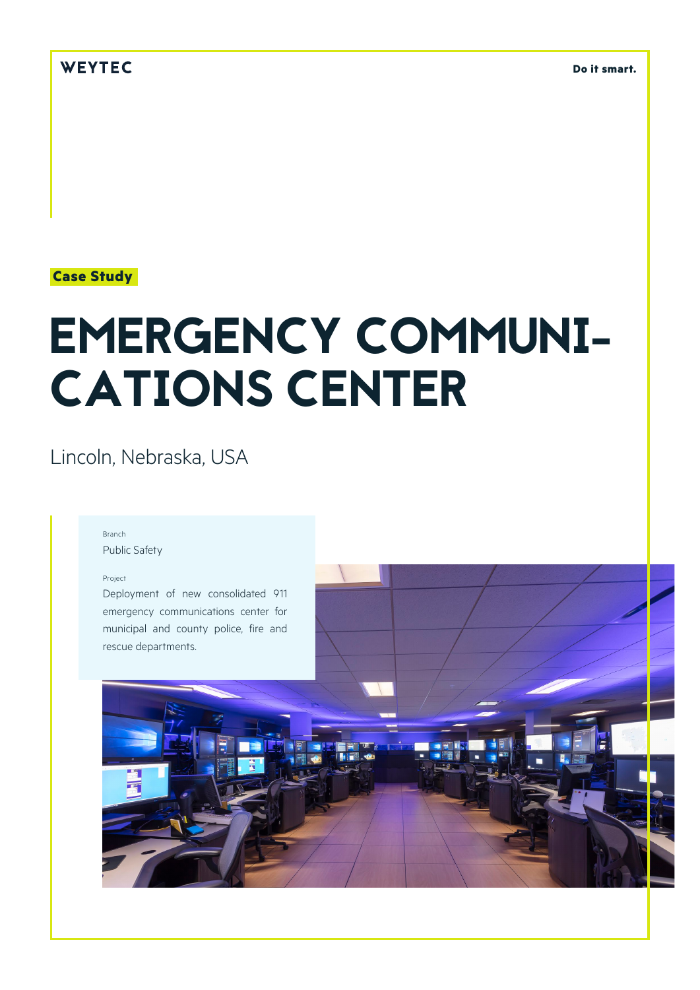## WEYTEC

**Do it smart.**

### **Case Study**

# EMERGENCY COMMUNI-CATIONS CENTER

# Lincoln, Nebraska, USA

#### Branch

Public Safety

#### Project

Deployment of new consolidated 911 emergency communications center for municipal and county police, fire and rescue departments.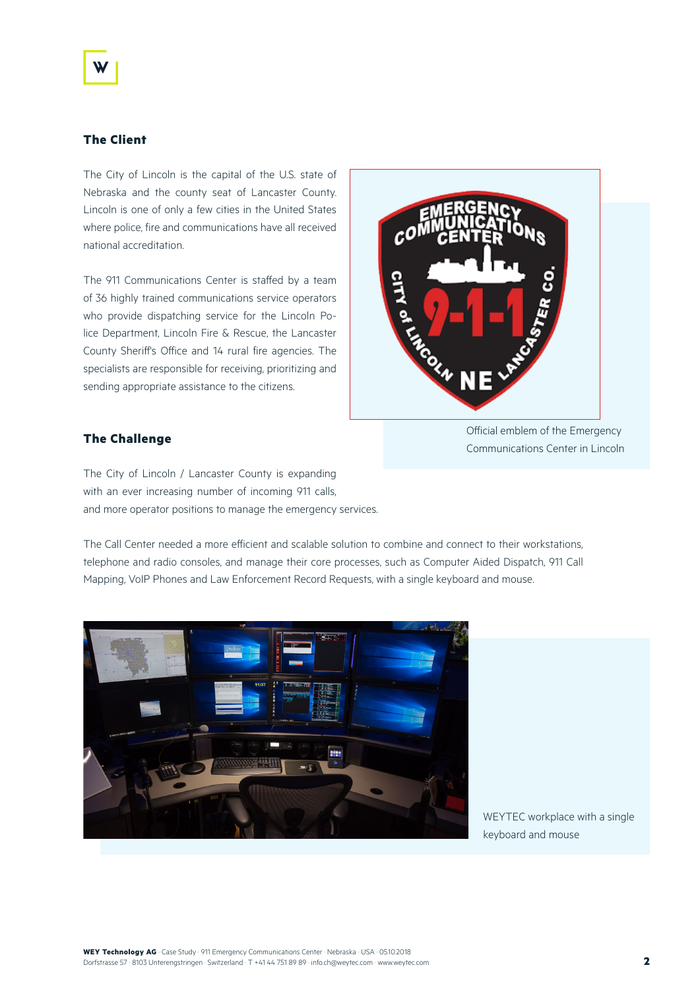#### **The Client**

The City of Lincoln is the capital of the U.S. state of Nebraska and the county seat of Lancaster County. Lincoln is one of only a few cities in the United States where police, fire and communications have all received national accreditation.

The 911 Communications Center is staffed by a team of 36 highly trained communications service operators who provide dispatching service for the Lincoln Police Department, Lincoln Fire & Rescue, the Lancaster County Sheriff's Office and 14 rural fire agencies. The specialists are responsible for receiving, prioritizing and sending appropriate assistance to the citizens.



#### **The Challenge**

Communications Center in Lincoln

The City of Lincoln / Lancaster County is expanding with an ever increasing number of incoming 911 calls, and more operator positions to manage the emergency services.

The Call Center needed a more efficient and scalable solution to combine and connect to their workstations, telephone and radio consoles, and manage their core processes, such as Computer Aided Dispatch, 911 Call Mapping, VoIP Phones and Law Enforcement Record Requests, with a single keyboard and mouse.



WEYTEC workplace with a single keyboard and mouse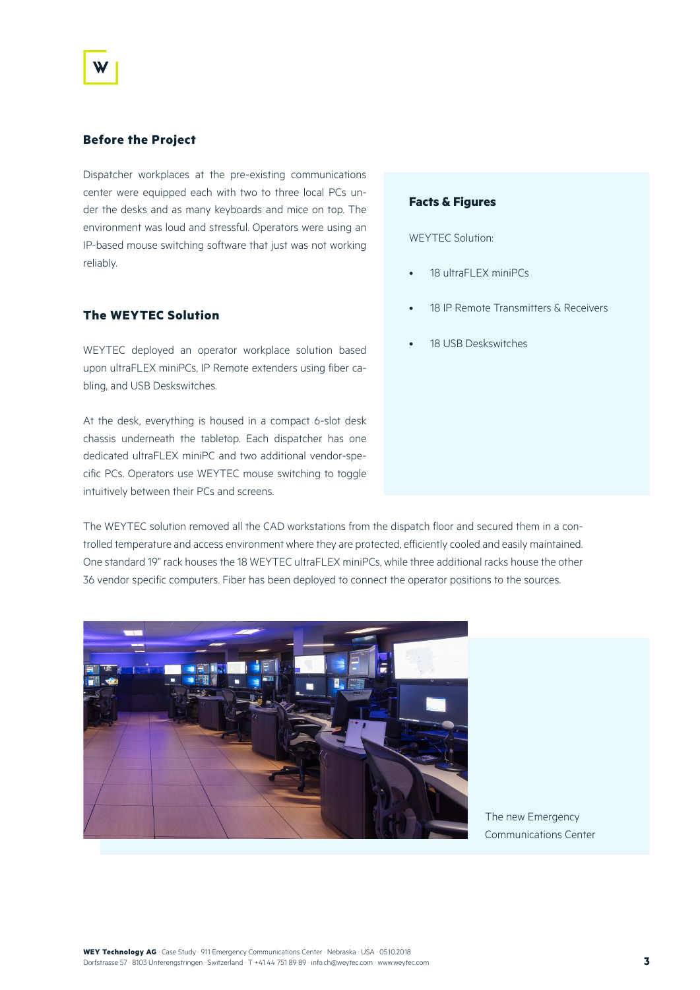#### **Before the Project**

Dispatcher workplaces at the pre-existing communications center were equipped each with two to three local PCs under the desks and as many keyboards and mice on top. The environment was loud and stressful. Operators were using an IP-based mouse switching software that just was not working reliably.

#### **The WEYTEC Solution**

WEYTEC deployed an operator workplace solution based upon ultraFLEX miniPCs, IP Remote extenders using fiber cabling, and USB Deskswitches.

At the desk, everything is housed in a compact 6-slot desk chassis underneath the tabletop. Each dispatcher has one dedicated ultraFLEX miniPC and two additional vendor-specific PCs. Operators use WEYTEC mouse switching to toggle intuitively between their PCs and screens.

The WEYTEC solution removed all the CAD workstations from the dispatch floor and secured them in a controlled temperature and access environment where they are protected, efficiently cooled and easily maintained. One standard 19" rack houses the 18 WEYTEC ultraFLEX miniPCs, while three additional racks house the other 36 vendor specific computers. Fiber has been deployed to connect the operator positions to the sources.



The new Emergency Communications Center

#### **Facts & Figures**

WEYTEC Solution:

- 18 ultraFLEX miniPCs
- 18 IP Remote Transmitters & Receivers
- 18 USB Deskswitches